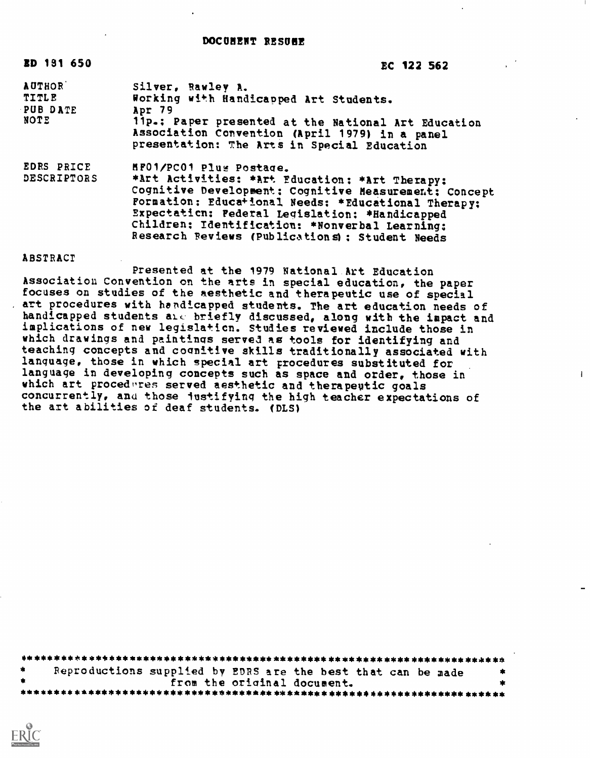## DOCUNENT RESUME

| ED 191 650                                        | EC 122 562                                                                                                                                                                                                                                                                                                                                       |
|---------------------------------------------------|--------------------------------------------------------------------------------------------------------------------------------------------------------------------------------------------------------------------------------------------------------------------------------------------------------------------------------------------------|
| <b>AUTHOR</b><br><b>TITLE</b><br>PUB DATE<br>NOTE | Silver, Rawley A.<br>Working with Handicapped Art Students.<br>Apr 79<br>11p.: Paper presented at the National Art Education<br>Association Convention (April 1979) in a panel<br>presentation: The Arts in Special Education                                                                                                                    |
| EDRS PRICE<br><b>DESCRIPTORS</b>                  | HF01/PC01 Plus Postage.<br>*Art Activities: *Art Education: *Art Therapy:<br>Cognitive Development: Cognitive Measurement: Concept<br>Formation: Educational Needs: *Educational Therapy;<br>Expectation: Federal Legislation: *Handicapped<br>Children; Identification: *Nonverbal Learning:<br>Research Reviews (Publications) : Student Needs |

## ABSTRACT

Presented at the 1979 National Art Education Association Convention on the arts in special education, the paper focuses on studies of the mesthetic and therapeutic use of special art procedures with handicapped students. The art education needs of handicapped students are briefly discussed, along with the impact and implications of new legislation. Studies reviewed include those in which drawings and paintings served as tools for identifying and teaching concepts and cognitive skills traditionally associated with language, those in which special art procedures substituted for language in developing concepts such as space and order, those in which art procedures served aesthetic and therapeutic goals concurrently, and those justifying the high teacher expectations of the art abilities of deaf students. (DLS)

 $\mathbf{1}$ 

| - 竜 | Reproductions supplied by EDRS are the best that can be made |  |                             |  | . ≢. |
|-----|--------------------------------------------------------------|--|-----------------------------|--|------|
| . . |                                                              |  | from the original document. |  |      |
|     |                                                              |  |                             |  |      |

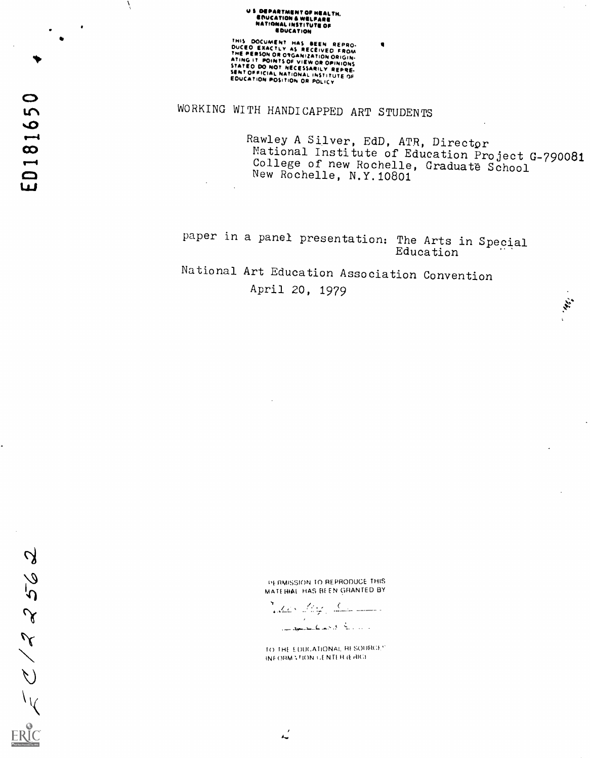## **US DEPARTMENT OF HEALTH.<br>ENUCATION & WELFARE<br>NATIONAL INSTITUTE OF**<br>EDUCATION

THIS DOCUMENT HAS BEEN REPRO-<br>DUCEO EXACTLY AS RECEIVED FROM<br>THE PERSON OR OSCANIZATION ORIGIN-<br>ATING IT POINTS OF VIEW OR OPINIONS<br>STATEO DO NOT NECESSARILY REPRE-<br>SENTOFFICIAL NATIONAL INSTITUTE OF<br>EDUCATION POSITION OR

WORKING WITH HANDICAPPED ART STUDENTS

Rawley A Silver, EdD, ATR, Director National Institute of Education Project G-790081 College of new Rochelle, Graduate School New Rochelle, N.Y.10801

**KEY** 

paper in a panel presentation: The Arts in Special Education

National Art Education Association Convention April 20, 1979

> PERMISSION TO REPRODUCE THIS MATERIAL HAS BEEN GRANTED BY

<u> Victor of the Community of the Community of the Community of the Community of the Community of the Community of the Community of the Community of the Community of the Community of the Community of the Community of the Co</u> ال الروز المتألف كالحصر الكاسط الموقع السلم.

TO THE EDUCATIONAL RESOURCES INFORMATION OF NTER (ERIC).

ED181650

Á

EC 122562

ىم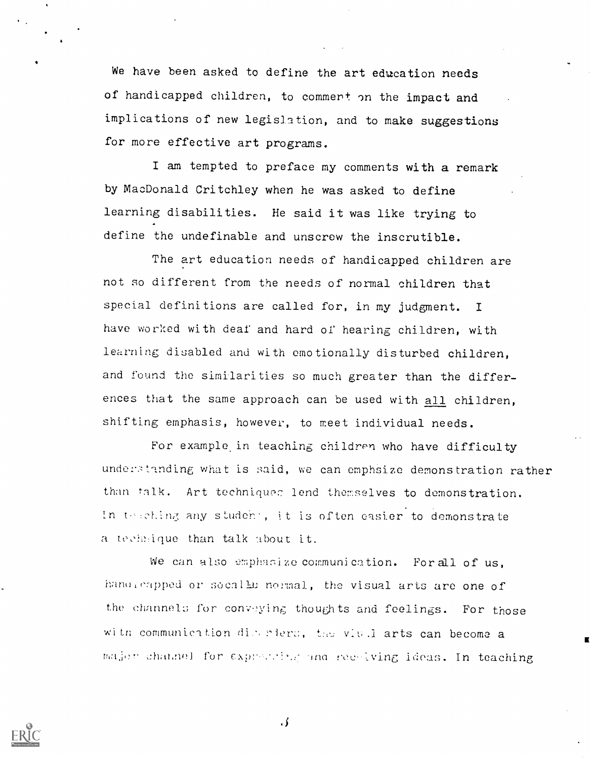We have been asked to define the art education needs of handicapped children, to comment on the impact and implications of new legislation, and to make suggestions for more effective art programs.

I am tempted to preface my comments with a remark by MacDonald Critchley when he was asked to define learning disabilities. He said it was like trying to define the undefinable and unscrew the inscrutible.

The art education needs of handicapped children are not so different from the needs of normal children that special definitions are called for, in my judgment. <sup>I</sup> have worked with deaf and hard of hearing children, with learning disabled and with emotionally disturbed children, and found the similarities so much greater than the differences that the same approach can be used with all children, shifting emphasis, however, to meet individual needs.

For example in teaching children who have difficulty understanding what is said, we can emphsize demonstration rather than talk. Art techniques lend themselves to demonstration. In teaching any student, it is often easier to demonstrate a technique than talk about it.

We can also emphasize communication. For all of us, hand eapped or socally normal, the visual arts are one of the channels for conveying thoughts and feelings. For those with communication discriers, the viu.1 arts can become a major channel for expressions and receiving ideas. In teaching



 $\cdot$  )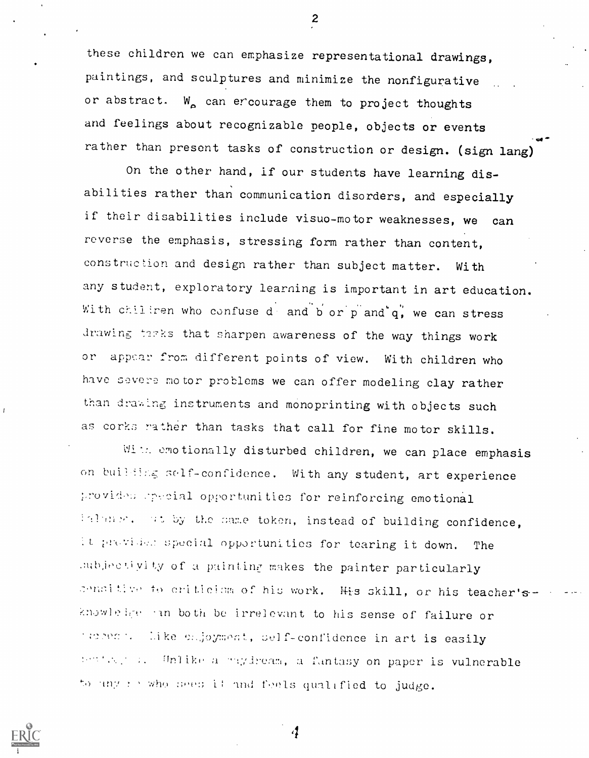these children we can emphasize representational drawings, paintings, and sculptures and minimize the nonfigurative or abstract.  $W_a$  can ercourage them to project thoughts and feelings about recognizable people, objects or events rather than present tasks of construction or design. (sign lang)

On the other hand, if our students have learning disabilities rather than communication disorders, and especially if their disabilities include visuo-motor weaknesses, we can reverse the emphasis, stressing form rather than content, construction and design rather than subject matter. With any student, exploratory learning is important in art education. With chiliren who confuse d and b or p and q', we can stress drawing tarks that sharpen awareness of the way things work or appear from different points of view. With children who have severe motor problems we can offer modeling clay rather than drawing instruments and monoprinting with objects such as corks rather than tasks that call for fine motor skills.

With emotionally disturbed children, we can place emphasis on building self-confidence. With any student, art experience provides special opportunities for reinforcing emotional  $t$  to  $t$ , with by the same token, instead of building confidence, It provises special opportunities for tearing it down. The ,aubjectivity of a painting makes the painter particularly censitive to criticism of his work. His skill, or his teacher'sknowlelge in both be irrelevant to his sense of failure or Tuppen: Like enjoyment, self-confidence in art is easily influit a - Unlike a nighteam, a funtasy on paper is vulnerable to any forwho sees it and foels qualified to judge.

i1



 $\mathbf{2}$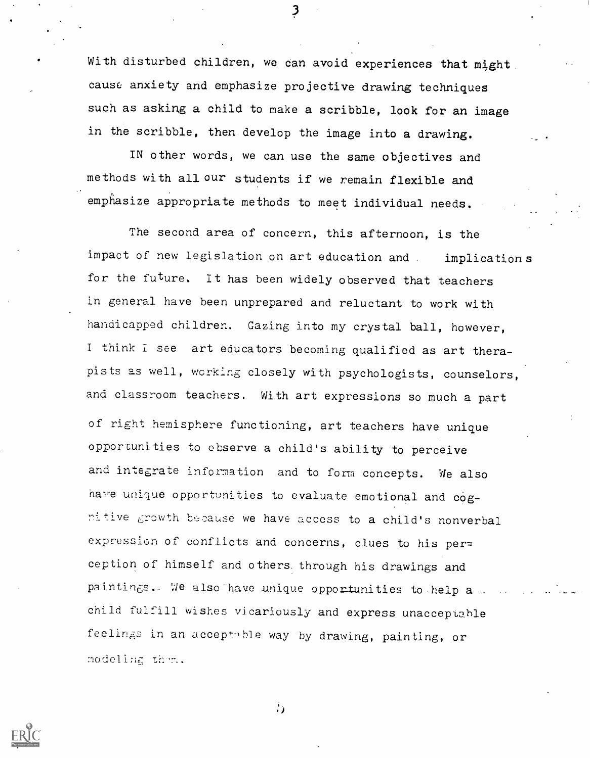With disturbed children, we can avoid experiences that might cause anxiety and emphasize projective drawing techniques such as asking a child to make a scribble, look for an image in the scribble, then develop the image into a drawing.

3

IN other words, we can use the same objectives and methods with all our students if we remain flexible and emphasize appropriate methods to meet individual needs.

The second area of concern, this afternoon, is the impact of new legislation on art education and . implications for the future. It has been widely observed that teachers in general have been unprepared and reluctant to work with handicapped children. Gazing into my crystal ball, however, <sup>I</sup> think I see art educators becoming qualified as art therapists as well, working closely with psychologists, counselors, and classroom teachers. With art expressions so much a part of right hemisphere functioning, art teachers have unique opportunities to observe a child's ability to perceive and integrate infornation and to form concepts. We also have unique opportunities to evaluate emotional and cog $n$ itive growth because we have access to a child's nonverbal expression of conflicts and concerns, clues to his per= ception of himself and others. through his drawings and paintings. We also have unique opportunities to help  $a$ . child fulfill wishes vicariously and express unacceptahle feelings in an acceptuble way by drawing, painting, or modeling them.



 $\mathbf{a}$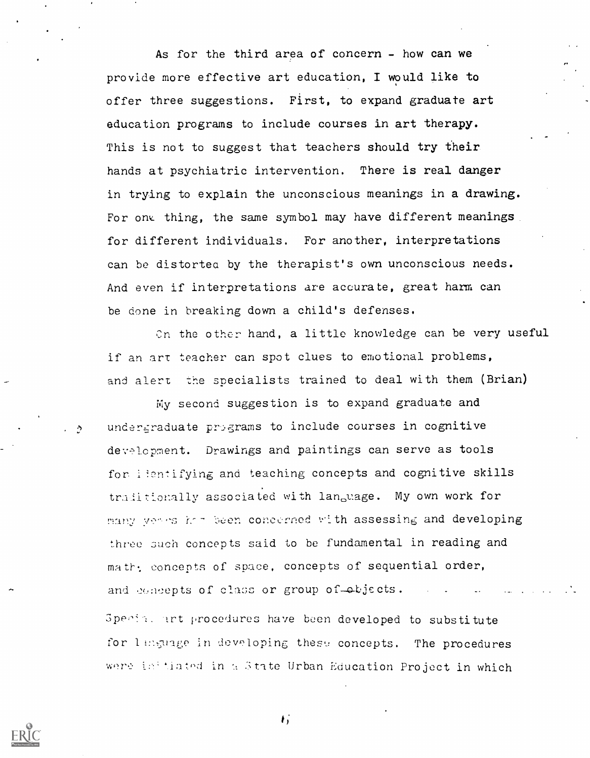As for the third area of concern - how can we provide more effective art education, I would like to offer three suggestions. First, to expand graduate art education programs to include courses in art therapy. This is not to suggest that teachers should try their hands at psychiatric intervention. There is real danger in trying to explain the unconscious meanings in a drawing. For one thing, the same symbol may have different meanings for different individuals. For another, interpretations can be distortea by the therapist's own unconscious needs. And even if interpretations are accurate, great harm can be done in breaking down a child's defenses.

Cn the other hand, a little knowledge can be very useful if an art teacher can spot clues to emotional problems, and alert the specialists trained to deal with them (Brian)

My second suggestion is to expand graduate and undereraduate programs to include courses in cognitive development. Drawings and paintings can serve as tools for lientifying and teaching concepts and cognitive skills traditionally associated with language. My own work for many years had been concerned with assessing and developing three such concepts said to be fundamental in reading and math: concepts of space, concepts of sequential order, and concepts of class or group of objects. Special art procedures have been developed to substitute for language in developing these concepts. The procedures



 $\mathbf{I}$ 

were intiated in a State Urban Education Project in which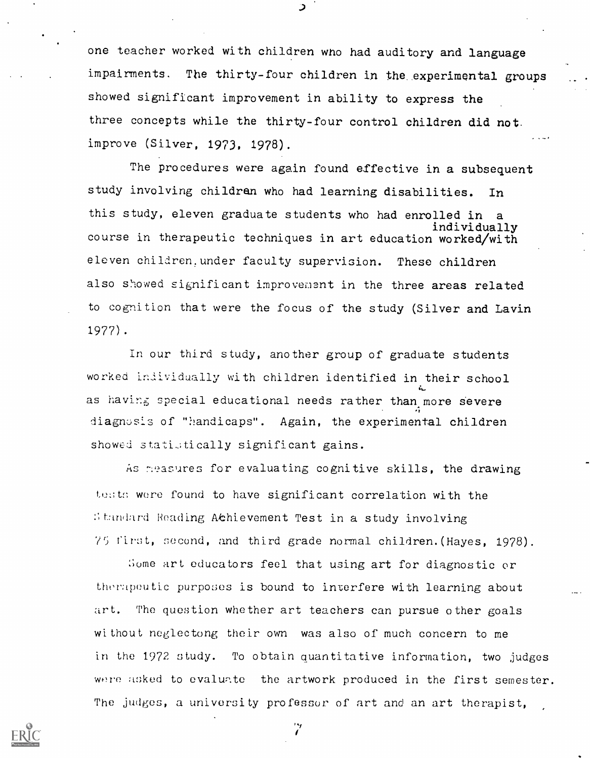one teacher worked with children wno had auditory and language impairments. The thirty-four children in the experimental groups showed significant improvement in ability to express the three concepts while the thirty-four control children did not. improve (Silver, 1973, 1978).

The procedures were again found effective in a subsequent study involving children who had learning disabilities. In this study, eleven graduate students who had enrolled in individually course in therapeutic techniques in art education worked/with eleven children.under faculty supervision. These children also showed significant improvement in the three areas related to cognition that were the focus of the study (Silver and Lavin 1977).

In our third study, another group of graduate students worked individually with children identified in their school as having special educational needs rather than more severe 4 - Anima diagnosis of "handicaps". Again, the experimental children showed statistically significant gains.

As 7.easures for evaluating cognitive skills, the drawing tests were found to have significant correlation with the Standard Reading Achievement Test in a study involving 75 first, second, and third grade normal children. (Hayes, 1978).

Some art educators feel that using art for diagnostic or therapeutic purposes is bound to interfere with learning about art. The question whether art teachers can pursue other goals without neglectong their own was also of much concern to me in the 1972 study. To obtain Quantitative information, two judges were asked to evaluate the artwork produced in the first semester. The judges, a university professor of art and an art therapist,

7



ر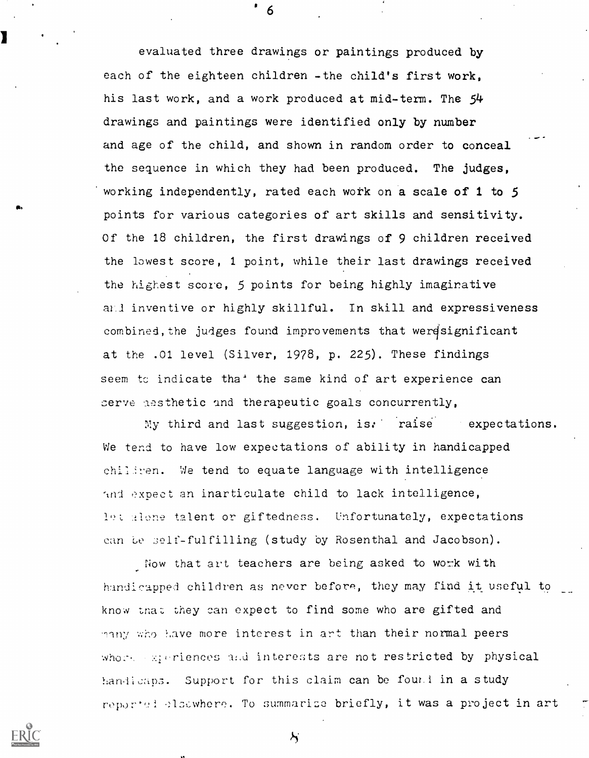evaluated three drawings or paintings produced by each of the eighteen children -the child's first work, his last work, and a work produced at mid-term. The 54 drawings and paintings were identified only by number and age of the child, and shown in random order to conceal the sequence in which they had been produced. The judges, 'working independently, rated each work on a scale of 1 to 5 points for various categories of art skills and sensitivity. Of the 18 children, the first drawings of 9 children received the lowest score, 1 point, while their last drawings received the highest score, 5 points for being highly imaginative and inventive or highly skillful. In skill and expressiveness combined, the judges found improvements that weresignificant at the .01 level (Silver, 1978, p. 225). These findings seem to indicate tha<sup>+</sup> the same kind of art experience can serve assthetic and therapeutic goals concurrently,

My third and last suggestion, is. raise expectations. We tend to have low expectations of ability in handicapped chiliren. We tend to equate language with intelligence and expect an inarticulate child to lack intelligence, let alone talent or giftedness. Unfortunately, expectations can be self-fulfilling (study by Rosenthal and Jacobson).

Now that art teachers are being asked to work with handicapped children as never before, they may find it useful to know that they can expect to find some who are gifted and many who have more interest in art than their normal peers whore experiences and interests are not restricted by physical handicaps. Support for this claim can be found in a study reported elsewhere. To summarize briefly, it was a project in art

 $\lambda$ 



-6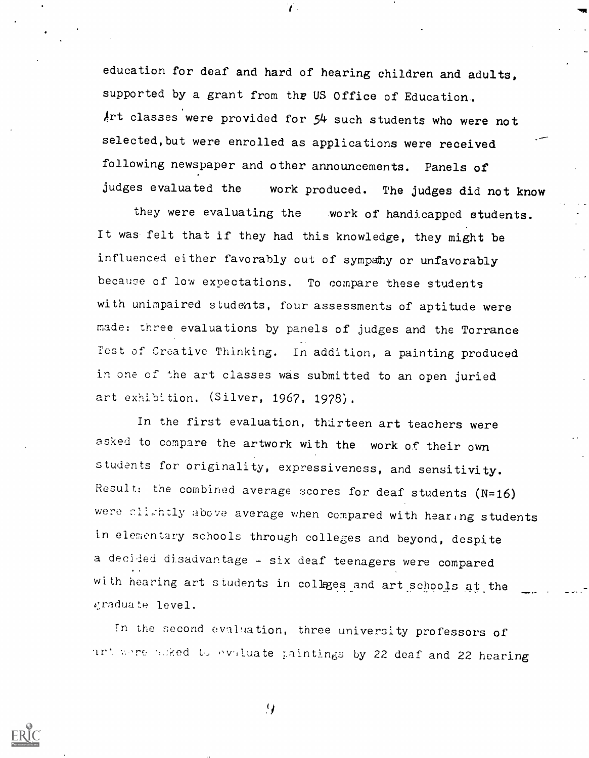education for deaf and hard of hearing children and adults, supported by a grant from the US Office of Education. Art classes were provided for 54 such students who were not selected, but were enrolled as applications were received following newspaper and other announcements. Panels of judges evaluated the work produced. The judges did not know

 $\mathcal{L}$ 

they were evaluating the work of handicapped students. It was felt that if they had this knowledge, they might be influenced either favorably out of sympahy or unfavorably because of low expectations. To compare these students with unimpaired students, four assessments of aptitude were made: three evaluations by panels of judges and the Torrance Test of Creative Thinking. In addition, a painting produced in one cf the art classes was submitted to an open juried art exhibition. (Silver, 1967, 1978).

In the first evaluation, thirteen art teachers were asked to compare the artwork with the work of their own students for originality, expressiveness, and sensitivity. Result: the combined average scores for deaf students (N=16) were clishtly above average when compared with hearing students in elementary schools through colleges and beyond, despite a decided disadvantage - six deaf teenagers were compared with hearing art students in colleges and art schools at the raduate level.

In the second evaluation, three university professors of ant ware hoked to evaluate paintings by 22 deaf and 22 hearing



 $\mathcal{L}$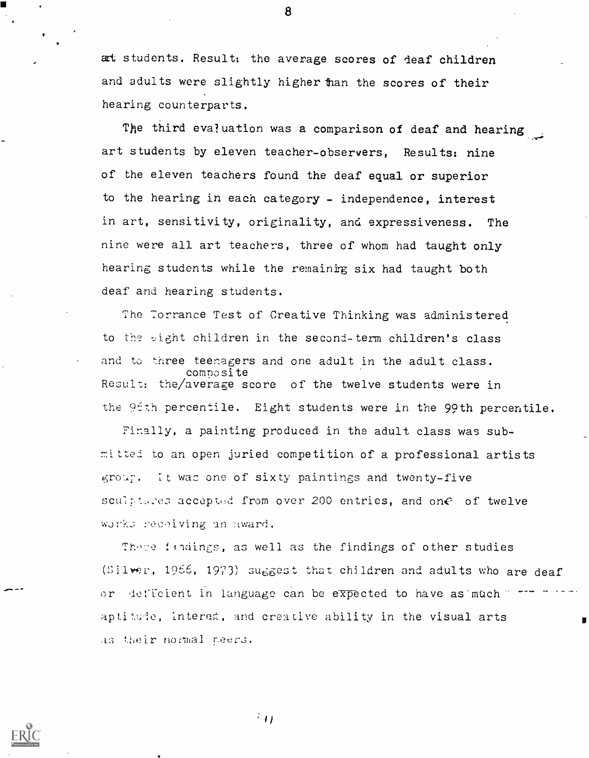at students. Result: the average scores of deaf children and adults were slightly higher than the scores of their hearing counterparts.

8

The third evaluation was a comparison of deaf and hearing art students by eleven teacher-observers, Results: nine of the eleven teachers found the deaf equal or superior to the hearing in each category - independence, interest in art, sensitivity, originality, and expressiveness. The nine were all art teachers, three of whom had taught only hearing students while the remainirg six had taught both deaf and hearing students.

The Torrance Test of Creative Thinking was administered to the sight children in the second-term children's class and to three teenagers and one adult in the adult class. composite Result: the/averaze score of the twelve students were in the 9tth percentile. Eight students were in the 99th percentile.

Finally, a painting produced in the adult class was submitted to an open juried competition of a professional artists  $65r$ . It was one of sixty paintings and twenty-five sculptures accepted from over 200 entries, and one of twelve works receiving an award.

These findings, as well as the findings of other studies (Silver, 1966, 1973) suggest that children and adults who are deaf or deficient in language can be expected to have as muchaptitude, intered, and creative ability in the visual arts as their normal neers.

 $\pm$  ( )